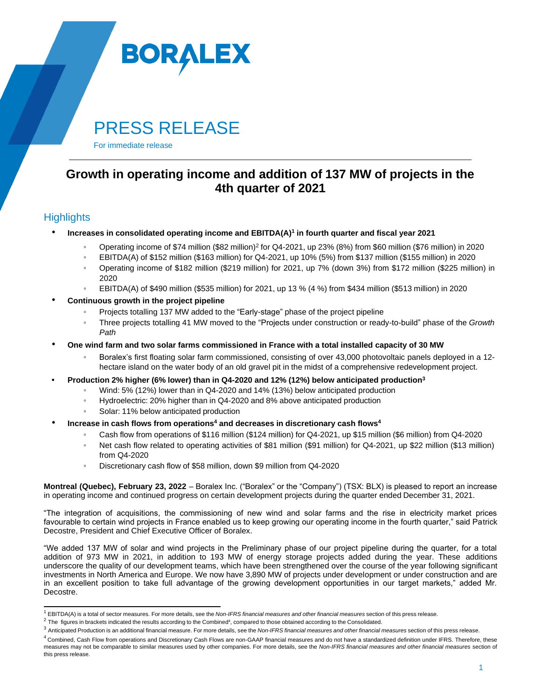

# PRESS RELEASE

For immediate release

## **Growth in operating income and addition of 137 MW of projects in the 4th quarter of 2021**

### **Highlights**

- **Increases in consolidated operating income and EBITDA(A)<sup>1</sup> in fourth quarter and fiscal year 2021**
	- Operating income of \$74 million (\$82 million)<sup>2</sup> for Q4-2021, up 23% (8%) from \$60 million (\$76 million) in 2020
	- EBITDA(A) of \$152 million (\$163 million) for Q4-2021, up 10% (5%) from \$137 million (\$155 million) in 2020
	- Operating income of \$182 million (\$219 million) for 2021, up 7% (down 3%) from \$172 million (\$225 million) in 2020
	- EBITDA(A) of \$490 million (\$535 million) for 2021, up 13 % (4 %) from \$434 million (\$513 million) in 2020
- **Continuous growth in the project pipeline**
	- Projects totalling 137 MW added to the "Early-stage" phase of the project pipeline
	- Three projects totalling 41 MW moved to the "Projects under construction or ready-to-build" phase of the *Growth Path*
- One wind farm and two solar farms commissioned in France with a total installed capacity of 30 MW
	- Boralex's first floating solar farm commissioned, consisting of over 43,000 photovoltaic panels deployed in a 12hectare island on the water body of an old gravel pit in the midst of a comprehensive redevelopment project.
- **• Production 2% higher (6% lower) than in Q4-2020 and 12% (12%) below anticipated production<sup>3</sup>**
	- Wind: 5% (12%) lower than in Q4-2020 and 14% (13%) below anticipated production
	- Hydroelectric: 20% higher than in Q4-2020 and 8% above anticipated production
	- Solar: 11% below anticipated production
- **Increase in cash flows from operations<sup>4</sup> and decreases in discretionary cash flows<sup>4</sup>**
	- Cash flow from operations of \$116 million (\$124 million) for Q4-2021, up \$15 million (\$6 million) from Q4-2020
	- Net cash flow related to operating activities of \$81 million (\$91 million) for Q4-2021, up \$22 million (\$13 million) from Q4-2020
	- Discretionary cash flow of \$58 million, down \$9 million from Q4-2020

**Montreal (Quebec), February 23, 2022** – Boralex Inc. ("Boralex" or the "Company") (TSX: BLX) is pleased to report an increase in operating income and continued progress on certain development projects during the quarter ended December 31, 2021.

"The integration of acquisitions, the commissioning of new wind and solar farms and the rise in electricity market prices favourable to certain wind projects in France enabled us to keep growing our operating income in the fourth quarter," said Patrick Decostre, President and Chief Executive Officer of Boralex.

"We added 137 MW of solar and wind projects in the Preliminary phase of our project pipeline during the quarter, for a total addition of 973 MW in 2021, in addition to 193 MW of energy storage projects added during the year. These additions underscore the quality of our development teams, which have been strengthened over the course of the year following significant investments in North America and Europe. We now have 3,890 MW of projects under development or under construction and are in an excellent position to take full advantage of the growing development opportunities in our target markets," added Mr. Decostre.

<sup>1</sup> EBITDA(A) is a total of sector measures. For more details, see the *Non-IFRS financial measures and other financial measures* section of this press release.

 $^2$  The figures in brackets indicated the results according to the Combined<sup>4</sup>, compared to those obtained according to the Consolidated.

<sup>3</sup> Anticipated Production is an additional financial measure. For more details, see the *Non-IFRS financial measures and other financial measures* section of this press release.

 $^4$  Combined, Cash Flow from operations and Discretionary Cash Flows are non-GAAP financial measures and do not have a standardized definition under IFRS. Therefore, these measures may not be comparable to similar measures used by other companies. For more details, see the *Non-IFRS financial measures and other financial measures* section of this press release.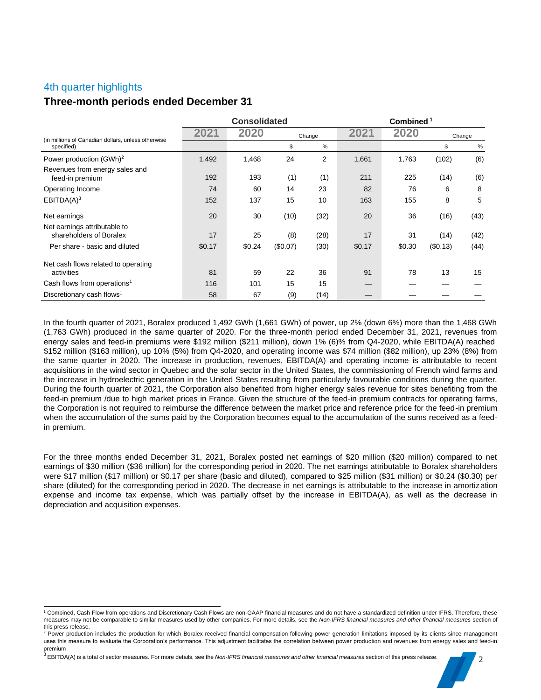### 4th quarter highlights

### **Three-month periods ended December 31**

|                                                         | <b>Consolidated</b> |        |          | Combined <sup>1</sup> |        |        |          |        |
|---------------------------------------------------------|---------------------|--------|----------|-----------------------|--------|--------|----------|--------|
| (in millions of Canadian dollars, unless otherwise      | 2021                | 2020   |          | Change                |        | 2020   |          | Change |
| specified)                                              |                     |        | \$       | %                     |        |        | \$       | %      |
| Power production (GWh) <sup>2</sup>                     | 1,492               | 1,468  | 24       | 2                     | 1,661  | 1,763  | (102)    | (6)    |
| Revenues from energy sales and<br>feed-in premium       | 192                 | 193    | (1)      | (1)                   | 211    | 225    | (14)     | (6)    |
| Operating Income                                        | 74                  | 60     | 14       | 23                    | 82     | 76     | 6        | 8      |
| EBITDA(A) <sup>3</sup>                                  | 152                 | 137    | 15       | 10                    | 163    | 155    | 8        | 5      |
| Net earnings                                            | 20                  | 30     | (10)     | (32)                  | 20     | 36     | (16)     | (43)   |
| Net earnings attributable to<br>shareholders of Boralex | 17                  | 25     | (8)      | (28)                  | 17     | 31     | (14)     | (42)   |
| Per share - basic and diluted                           | \$0.17              | \$0.24 | (\$0.07) | (30)                  | \$0.17 | \$0.30 | (\$0.13) | (44)   |
| Net cash flows related to operating                     |                     |        |          |                       |        |        |          |        |
| activities                                              | 81                  | 59     | 22       | 36                    | 91     | 78     | 13       | 15     |
| Cash flows from operations <sup>1</sup>                 | 116                 | 101    | 15       | 15                    |        |        |          |        |
| Discretionary cash flows <sup>1</sup>                   | 58                  | 67     | (9)      | (14)                  |        |        |          |        |

In the fourth quarter of 2021, Boralex produced 1,492 GWh (1,661 GWh) of power, up 2% (down 6%) more than the 1,468 GWh (1,763 GWh) produced in the same quarter of 2020. For the three-month period ended December 31, 2021, revenues from energy sales and feed-in premiums were \$192 million (\$211 million), down 1% (6)% from Q4-2020, while EBITDA(A) reached \$152 million (\$163 million), up 10% (5%) from Q4-2020, and operating income was \$74 million (\$82 million), up 23% (8%) from the same quarter in 2020. The increase in production, revenues, EBITDA(A) and operating income is attributable to recent acquisitions in the wind sector in Quebec and the solar sector in the United States, the commissioning of French wind farms and the increase in hydroelectric generation in the United States resulting from particularly favourable conditions during the quarter. During the fourth quarter of 2021, the Corporation also benefited from higher energy sales revenue for sites benefiting from the feed-in premium /due to high market prices in France. Given the structure of the feed-in premium contracts for operating farms, the Corporation is not required to reimburse the difference between the market price and reference price for the feed-in premium when the accumulation of the sums paid by the Corporation becomes equal to the accumulation of the sums received as a feedin premium.

For the three months ended December 31, 2021, Boralex posted net earnings of \$20 million (\$20 million) compared to net earnings of \$30 million (\$36 million) for the corresponding period in 2020. The net earnings attributable to Boralex shareholders were \$17 million (\$17 million) or \$0.17 per share (basic and diluted), compared to \$25 million (\$31 million) or \$0.24 (\$0.30) per share (diluted) for the corresponding period in 2020. The decrease in net earnings is attributable to the increase in amortization expense and income tax expense, which was partially offset by the increase in EBITDA(A), as well as the decrease in depreciation and acquisition expenses.

<sup>1</sup> Combined, Cash Flow from operations and Discretionary Cash Flows are non-GAAP financial measures and do not have a standardized definition under IFRS. Therefore, these measures may not be comparable to similar measures used by other companies. For more details, see the *Non-IFRS financial measures and other financial measures* section of

this press release.<br><sup>2</sup> Power production includes the production for which Boralex received financial compensation following power generation limitations imposed by its clients since management uses this measure to evaluate the Corporation's performance. This adjustment facilitates the correlation between power production and revenues from energy sales and feed-in premium

<sup>&</sup>lt;sup>3</sup> EBITDA(A) is a total of sector measures. For more details, see the *Non-IFRS financial measures and other financial measures* section of this press release.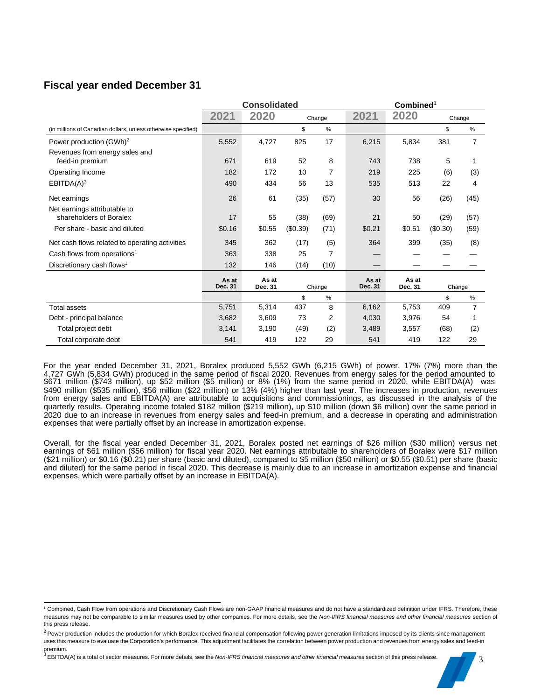### **Fiscal year ended December 31**

|                                                               |                  | <b>Consolidated</b> |          | Combined <sup>1</sup> |         |         |          |      |
|---------------------------------------------------------------|------------------|---------------------|----------|-----------------------|---------|---------|----------|------|
|                                                               | 2021             | 2020                | Change   |                       | 2021    | 2020    | Change   |      |
| (in millions of Canadian dollars, unless otherwise specified) |                  |                     | \$       | $\%$                  |         |         | \$       | $\%$ |
| Power production (GWh) <sup>2</sup>                           | 5,552            | 4,727               | 825      | 17                    | 6,215   | 5,834   | 381      | 7    |
| Revenues from energy sales and                                |                  |                     |          |                       |         |         |          |      |
| feed-in premium                                               | 671              | 619                 | 52       | 8                     | 743     | 738     | 5        |      |
| Operating Income                                              | 182              | 172                 | 10       | 7                     | 219     | 225     | (6)      | (3)  |
| EBITDA(A) <sup>3</sup>                                        | 490              | 434                 | 56       | 13                    | 535     | 513     | 22       | 4    |
| Net earnings                                                  | 26               | 61                  | (35)     | (57)                  | 30      | 56      | (26)     | (45) |
| Net earnings attributable to<br>shareholders of Boralex       | 17               | 55                  | (38)     | (69)                  | 21      | 50      | (29)     |      |
|                                                               |                  |                     |          |                       |         |         |          | (57) |
| Per share - basic and diluted                                 | \$0.16           | \$0.55              | (\$0.39) | (71)                  | \$0.21  | \$0.51  | (\$0.30) | (59) |
| Net cash flows related to operating activities                | 345              | 362                 | (17)     | (5)                   | 364     | 399     | (35)     | (8)  |
| Cash flows from operations <sup>1</sup>                       | 363              | 338                 | 25       | 7                     |         |         |          |      |
| Discretionary cash flows <sup>1</sup>                         | 132              | 146                 | (14)     | (10)                  |         |         |          |      |
|                                                               | As at<br>Dec. 31 | As at               |          |                       | As at   | As at   |          |      |
|                                                               |                  | Dec. 31             |          | Change                | Dec. 31 | Dec. 31 | Change   |      |
|                                                               |                  |                     | \$       | $\%$                  |         |         | \$       | $\%$ |
| <b>Total assets</b>                                           | 5,751            | 5,314               | 437      | 8                     | 6,162   | 5.753   | 409      | 7    |
| Debt - principal balance                                      | 3,682            | 3,609               | 73       | 2                     | 4,030   | 3,976   | 54       |      |
| Total project debt                                            | 3,141            | 3,190               | (49)     | (2)                   | 3,489   | 3,557   | (68)     | (2)  |
| Total corporate debt                                          | 541              | 419                 | 122      | 29                    | 541     | 419     | 122      | 29   |

For the year ended December 31, 2021, Boralex produced 5,552 GWh (6,215 GWh) of power, 17% (7%) more than the 4,727 GWh (5,834 GWh) produced in the same period of fiscal 2020. Revenues from energy sales for the period amounted to \$671 million (\$743 million), up \$52 million (\$5 million) or 8% (1%) from the same period in 2020, while EBITDA(A) was \$490 million (\$535 million), \$56 million (\$22 million) or 13% (4%) higher than last year. The increases in production, revenues from energy sales and EBITDA(A) are attributable to acquisitions and commissionings, as discussed in the analysis of the quarterly results. Operating income totaled \$182 million (\$219 million), up \$10 million (down \$6 million) over the same period in 2020 due to an increase in revenues from energy sales and feed-in premium, and a decrease in operating and administration expenses that were partially offset by an increase in amortization expense.

Overall, for the fiscal year ended December 31, 2021, Boralex posted net earnings of \$26 million (\$30 million) versus net earnings of \$61 million (\$56 million) for fiscal year 2020. Net earnings attributable to shareholders of Boralex were \$17 million (\$21 million) or \$0.16 (\$0.21) per share (basic and diluted), compared to \$5 million (\$50 million) or \$0.55 (\$0.51) per share (basic and diluted) for the same period in fiscal 2020. This decrease is mainly due to an increase in amortization expense and financial expenses, which were partially offset by an increase in EBITDA(A).

<sup>1</sup> Combined, Cash Flow from operations and Discretionary Cash Flows are non-GAAP financial measures and do not have a standardized definition under IFRS. Therefore, these measures may not be comparable to similar measures used by other companies. For more details, see the *Non-IFRS financial measures and other financial measures* section of this press release.

<sup>&</sup>lt;sup>2</sup> Power production includes the production for which Boralex received financial compensation following power generation limitations imposed by its clients since management uses this measure to evaluate the Corporation's performance. This adjustment facilitates the correlation between power production and revenues from energy sales and feed-in premium.

<sup>&</sup>lt;sup>3</sup> EBITDA(A) is a total of sector measures. For more details, see the *Non-IFRS financial measures and other financial measures* section of this press release.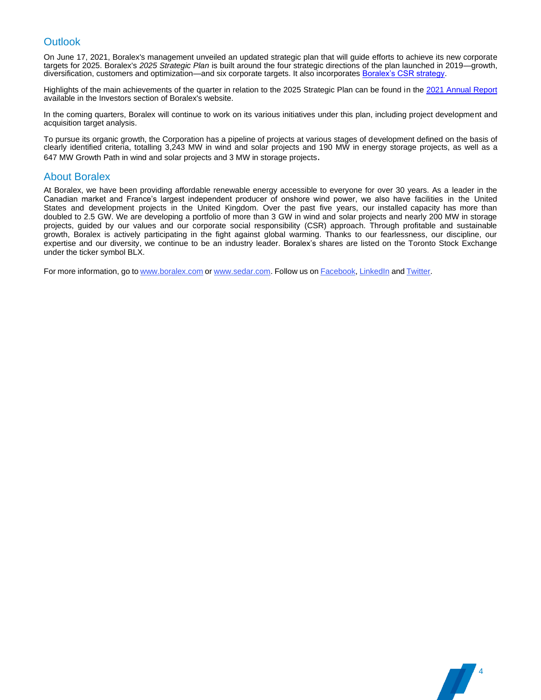### **Outlook**

On June 17, 2021, Boralex's management unveiled an updated strategic plan that will guide efforts to achieve its new corporate targets for 2025. Boralex's *2025 Strategic Plan* is built around the four strategic directions of the plan launched in 2019—growth, diversification, customers and optimization—and six corporate targets. It also incorporates [Boralex's CSR strategy.](https://boralex-global.imgix.net/CSR_Report_2021.pdf)

Highlights of the main achievements of the quarter in relation to the 2025 Strategic Plan can be found in th[e 2021 Annual Report](https://boralex-global.imgix.net/Rapport_Annuel_2021_EN.pdf) available in the Investors section of Boralex's website.

In the coming quarters, Boralex will continue to work on its various initiatives under this plan, including project development and acquisition target analysis.

To pursue its organic growth, the Corporation has a pipeline of projects at various stages of development defined on the basis of clearly identified criteria, totalling 3,243 MW in wind and solar projects and 190 MW in energy storage projects, as well as a 647 MW Growth Path in wind and solar projects and 3 MW in storage projects.

### About Boralex

At Boralex, we have been providing affordable renewable energy accessible to everyone for over 30 years. As a leader in the Canadian market and France's largest independent producer of onshore wind power, we also have facilities in the United States and development projects in the United Kingdom. Over the past five years, our installed capacity has more than doubled to 2.5 GW. We are developing a portfolio of more than 3 GW in wind and solar projects and nearly 200 MW in storage projects, guided by our values and our corporate social responsibility (CSR) approach. Through profitable and sustainable growth, Boralex is actively participating in the fight against global warming. Thanks to our fearlessness, our discipline, our expertise and our diversity, we continue to be an industry leader. Boralex's shares are listed on the Toronto Stock Exchange under the ticker symbol BLX.

4

For more [information,](http://www.boralex.com/) go to [www.boralex.com](http://www.boralex.com/) [or](http://www.sedar.com/) [www.sedar.com.](http://www.sedar.com/) Follow us on Facebook, LinkedIn and Twitter.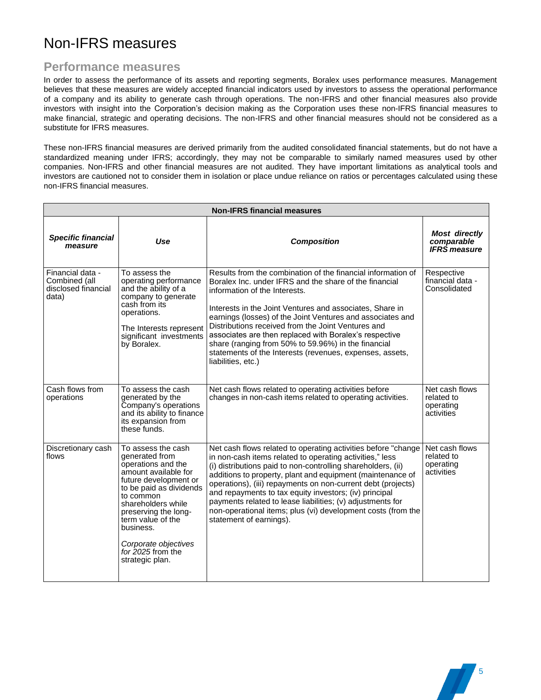## Non-IFRS measures

### **Performance measures**

In order to assess the performance of its assets and reporting segments, Boralex uses performance measures. Management believes that these measures are widely accepted financial indicators used by investors to assess the operational performance of a company and its ability to generate cash through operations. The non-IFRS and other financial measures also provide investors with insight into the Corporation's decision making as the Corporation uses these non-IFRS financial measures to make financial, strategic and operating decisions. The non-IFRS and other financial measures should not be considered as a substitute for IFRS measures.

These non-IFRS financial measures are derived primarily from the audited consolidated financial statements, but do not have a standardized meaning under IFRS; accordingly, they may not be comparable to similarly named measures used by other companies. Non-IFRS and other financial measures are not audited. They have important limitations as analytical tools and investors are cautioned not to consider them in isolation or place undue reliance on ratios or percentages calculated using these non-IFRS financial measures.

| <b>Non-IFRS financial measures</b>                                |                                                                                                                                                                                                                                                                                                     |                                                                                                                                                                                                                                                                                                                                                                                                                                                                                                                                            |                                                           |  |  |  |  |
|-------------------------------------------------------------------|-----------------------------------------------------------------------------------------------------------------------------------------------------------------------------------------------------------------------------------------------------------------------------------------------------|--------------------------------------------------------------------------------------------------------------------------------------------------------------------------------------------------------------------------------------------------------------------------------------------------------------------------------------------------------------------------------------------------------------------------------------------------------------------------------------------------------------------------------------------|-----------------------------------------------------------|--|--|--|--|
| <b>Specific financial</b><br>measure                              | Use                                                                                                                                                                                                                                                                                                 | <b>Composition</b>                                                                                                                                                                                                                                                                                                                                                                                                                                                                                                                         | <b>Most directly</b><br>comparable<br><b>IFRS</b> measure |  |  |  |  |
| Financial data -<br>Combined (all<br>disclosed financial<br>data) | To assess the<br>operating performance<br>and the ability of a<br>company to generate<br>cash from its<br>operations.<br>The Interests represent<br>significant investments<br>by Boralex.                                                                                                          | Results from the combination of the financial information of<br>Boralex Inc. under IFRS and the share of the financial<br>information of the Interests.<br>Interests in the Joint Ventures and associates, Share in<br>earnings (losses) of the Joint Ventures and associates and<br>Distributions received from the Joint Ventures and<br>associates are then replaced with Boralex's respective<br>share (ranging from 50% to 59.96%) in the financial<br>statements of the Interests (revenues, expenses, assets,<br>liabilities, etc.) | Respective<br>financial data -<br>Consolidated            |  |  |  |  |
| Cash flows from<br>operations                                     | To assess the cash<br>generated by the<br>Company's operations<br>and its ability to finance<br>its expansion from<br>these funds.                                                                                                                                                                  | Net cash flows related to operating activities before<br>changes in non-cash items related to operating activities.                                                                                                                                                                                                                                                                                                                                                                                                                        | Net cash flows<br>related to<br>operating<br>activities   |  |  |  |  |
| Discretionary cash<br>flows                                       | To assess the cash<br>generated from<br>operations and the<br>amount available for<br>future development or<br>to be paid as dividends<br>to common<br>shareholders while<br>preserving the long-<br>term value of the<br>business.<br>Corporate objectives<br>for 2025 from the<br>strategic plan. | Net cash flows related to operating activities before "change<br>in non-cash items related to operating activities," less<br>(i) distributions paid to non-controlling shareholders, (ii)<br>additions to property, plant and equipment (maintenance of<br>operations), (iii) repayments on non-current debt (projects)<br>and repayments to tax equity investors; (iv) principal<br>payments related to lease liabilities; (v) adjustments for<br>non-operational items; plus (vi) development costs (from the<br>statement of earnings). | Net cash flows<br>related to<br>operating<br>activities   |  |  |  |  |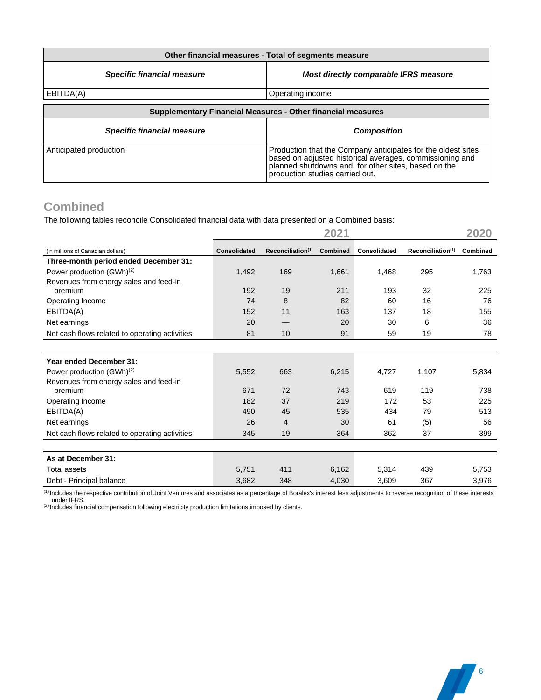| Other financial measures - Total of segments measure        |                                                                                                                                                                                                                     |  |  |  |  |  |
|-------------------------------------------------------------|---------------------------------------------------------------------------------------------------------------------------------------------------------------------------------------------------------------------|--|--|--|--|--|
| <b>Specific financial measure</b>                           | Most directly comparable IFRS measure                                                                                                                                                                               |  |  |  |  |  |
| EBITDA(A)                                                   | Operating income                                                                                                                                                                                                    |  |  |  |  |  |
| Supplementary Financial Measures - Other financial measures |                                                                                                                                                                                                                     |  |  |  |  |  |
| <b>Specific financial measure</b>                           | <b>Composition</b>                                                                                                                                                                                                  |  |  |  |  |  |
| Anticipated production                                      | Production that the Company anticipates for the oldest sites<br>based on adjusted historical averages, commissioning and<br>planned shutdowns and, for other sites, based on the<br>production studies carried out. |  |  |  |  |  |

## **Combined**

The following tables reconcile Consolidated financial data with data presented on a Combined basis:

|                                                |                     |                               | 2021     |              |                               | 2020     |
|------------------------------------------------|---------------------|-------------------------------|----------|--------------|-------------------------------|----------|
| (in millions of Canadian dollars)              | <b>Consolidated</b> | Reconciliation <sup>(1)</sup> | Combined | Consolidated | Reconciliation <sup>(1)</sup> | Combined |
| Three-month period ended December 31:          |                     |                               |          |              |                               |          |
| Power production (GWh) <sup>(2)</sup>          | 1,492               | 169                           | 1,661    | 1,468        | 295                           | 1,763    |
| Revenues from energy sales and feed-in         |                     |                               |          |              |                               |          |
| premium                                        | 192                 | 19                            | 211      | 193          | 32                            | 225      |
| Operating Income                               | 74                  | 8                             | 82       | 60           | 16                            | 76       |
| EBITDA(A)                                      | 152                 | 11                            | 163      | 137          | 18                            | 155      |
| Net earnings                                   | 20                  |                               | 20       | 30           | 6                             | 36       |
| Net cash flows related to operating activities | 81                  | 10                            | 91       | 59           | 19                            | 78       |
|                                                |                     |                               |          |              |                               |          |
| <b>Year ended December 31:</b>                 |                     |                               |          |              |                               |          |
| Power production (GWh) <sup>(2)</sup>          | 5,552               | 663                           | 6,215    | 4,727        | 1,107                         | 5,834    |
| Revenues from energy sales and feed-in         |                     |                               |          |              |                               |          |
| premium                                        | 671                 | 72                            | 743      | 619          | 119                           | 738      |
| Operating Income                               | 182                 | 37                            | 219      | 172          | 53                            | 225      |
| EBITDA(A)                                      | 490                 | 45                            | 535      | 434          | 79                            | 513      |
| Net earnings                                   | 26                  | 4                             | 30       | 61           | (5)                           | 56       |
| Net cash flows related to operating activities | 345                 | 19                            | 364      | 362          | 37                            | 399      |
|                                                |                     |                               |          |              |                               |          |
| As at December 31:                             |                     |                               |          |              |                               |          |
| <b>Total assets</b>                            | 5,751               | 411                           | 6,162    | 5,314        | 439                           | 5,753    |
| Debt - Principal balance                       | 3,682               | 348                           | 4,030    | 3,609        | 367                           | 3,976    |

(1) Includes the respective contribution of Joint Ventures and associates as a percentage of Boralex's interest less adjustments to reverse recognition of these interests

under IFRS. (2) Includes financial compensation following electricity production limitations imposed by clients.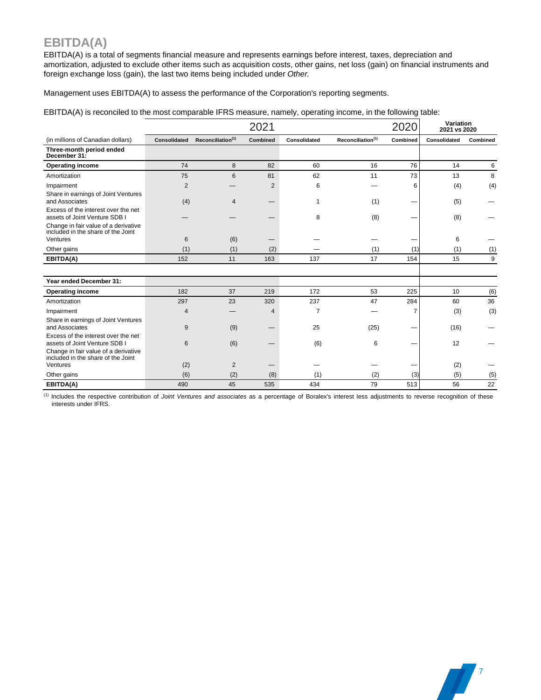### **EBITDA(A)**

EBITDA(A) is a total of segments financial measure and represents earnings before interest, taxes, depreciation and amortization, adjusted to exclude other items such as acquisition costs, other gains, net loss (gain) on financial instruments and foreign exchange loss (gain), the last two items being included under *Other.*

Management uses EBITDA(A) to assess the performance of the Corporation's reporting segments.

EBITDA(A) is reconciled to the most comparable IFRS measure, namely, operating income, in the following table:

|                                                                                        |              |                               | 2021           |                |                               | 2020     | Variation<br>2021 vs 2020 |          |
|----------------------------------------------------------------------------------------|--------------|-------------------------------|----------------|----------------|-------------------------------|----------|---------------------------|----------|
| (in millions of Canadian dollars)                                                      | Consolidated | Reconciliation <sup>(1)</sup> | Combined       | Consolidated   | Reconciliation <sup>(1)</sup> | Combined | Consolidated              | Combined |
| Three-month period ended<br>December 31:                                               |              |                               |                |                |                               |          |                           |          |
| <b>Operating income</b>                                                                | 74           | 8                             | 82             | 60             | 16                            | 76       | 14                        | 6        |
| Amortization                                                                           | 75           | 6                             | 81             | 62             | 11                            | 73       | 13                        | 8        |
| Impairment                                                                             | 2            |                               | $\overline{2}$ | 6              |                               | 6        | (4)                       | (4)      |
| Share in earnings of Joint Ventures<br>and Associates                                  | (4)          | $\overline{4}$                | —              | 1              | (1)                           |          | (5)                       |          |
| Excess of the interest over the net<br>assets of Joint Venture SDB I                   |              |                               |                | 8              | (8)                           |          | (8)                       |          |
| Change in fair value of a derivative<br>included in the share of the Joint<br>Ventures | 6            | (6)                           |                |                |                               |          | 6                         |          |
| Other gains                                                                            | (1)          | (1)                           | (2)            |                | (1)                           | (1)      | (1)                       | (1)      |
| EBITDA(A)                                                                              | 152          | 11                            | 163            | 137            | 17                            | 154      | 15                        | 9        |
|                                                                                        |              |                               |                |                |                               |          |                           |          |
| Year ended December 31:                                                                |              |                               |                |                |                               |          |                           |          |
| <b>Operating income</b>                                                                | 182          | 37                            | 219            | 172            | 53                            | 225      | 10                        | (6)      |
| Amortization                                                                           | 297          | 23                            | 320            | 237            | 47                            | 284      | 60                        | 36       |
| Impairment                                                                             | 4            |                               | 4              | $\overline{7}$ |                               | 7        | (3)                       | (3)      |
| Share in earnings of Joint Ventures<br>and Associates                                  | 9            | (9)                           |                | 25             | (25)                          |          | (16)                      |          |
| Excess of the interest over the net<br>assets of Joint Venture SDB I                   | 6            | (6)                           |                | (6)            | 6                             |          | 12                        |          |
| Change in fair value of a derivative<br>included in the share of the Joint             |              |                               |                |                |                               |          |                           |          |
| Ventures                                                                               | (2)          | $\overline{2}$                |                |                |                               |          | (2)                       |          |
| Other gains                                                                            | (6)          | (2)                           | (8)            | (1)            | (2)                           | (3)      | (5)                       | (5)      |
| EBITDA(A)                                                                              | 490          | 45                            | 535            | 434            | 79                            | 513      | 56                        | 22       |

(1) Includes the respective contribution of *Joint Ventures and associates* as a percentage of Boralex's interest less adjustments to reverse recognition of these interests under IFRS.

**1**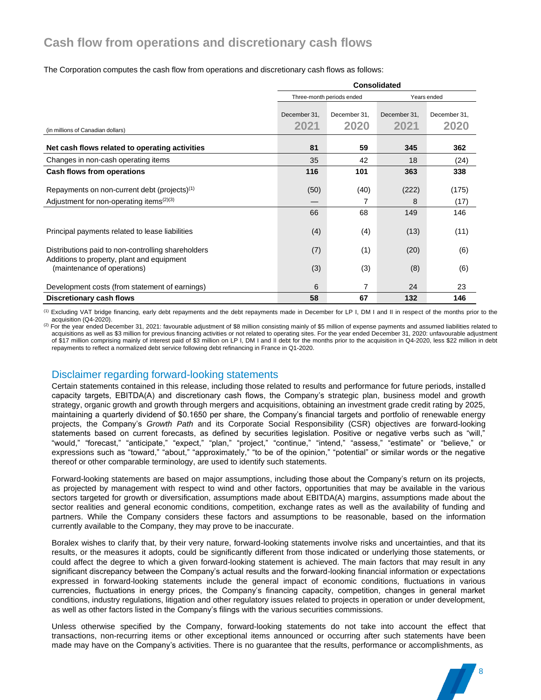## **Cash flow from operations and discretionary cash flows**

#### The Corporation computes the cash flow from operations and discretionary cash flows as follows:

|                                                                                                                               | <b>Consolidated</b>          |                           |              |               |  |  |  |
|-------------------------------------------------------------------------------------------------------------------------------|------------------------------|---------------------------|--------------|---------------|--|--|--|
|                                                                                                                               |                              | Three-month periods ended |              | Years ended   |  |  |  |
|                                                                                                                               | December 31.<br>December 31. |                           | December 31. | December 31.  |  |  |  |
| (in millions of Canadian dollars)                                                                                             | 2021                         | 2020                      | 2021         | 2020          |  |  |  |
| Net cash flows related to operating activities                                                                                | 81                           | 59                        | 345          | 362           |  |  |  |
| Changes in non-cash operating items                                                                                           | 35                           | 42                        | 18           | (24)          |  |  |  |
| Cash flows from operations                                                                                                    | 116                          | 101                       | 363          | 338           |  |  |  |
| Repayments on non-current debt (projects) <sup>(1)</sup><br>Adjustment for non-operating items <sup><math>(2)(3)</math></sup> | (50)                         | (40)<br>7                 | (222)<br>8   | (175)<br>(17) |  |  |  |
|                                                                                                                               | 66                           | 68                        | 149          | 146           |  |  |  |
| Principal payments related to lease liabilities                                                                               | (4)                          | (4)                       | (13)         | (11)          |  |  |  |
| Distributions paid to non-controlling shareholders                                                                            | (7)                          | (1)                       | (20)         | (6)           |  |  |  |
| Additions to property, plant and equipment<br>(maintenance of operations)                                                     | (3)                          | (3)                       | (8)          | (6)           |  |  |  |
| Development costs (from statement of earnings)                                                                                | 6                            | 7                         | 24           | 23            |  |  |  |
| Discretionary cash flows                                                                                                      | 58                           | 67                        | 132          | 146           |  |  |  |

<sup>(1)</sup> Excluding VAT bridge financing, early debt repayments and the debt repayments made in December for LP I, DM I and II in respect of the months prior to the acquisition (Q4-2020).

(2) For the year ended December 31, 2021: favourable adjustment of \$8 million consisting mainly of \$5 million of expense payments and assumed liabilities related to acquisitions as well as \$3 million for previous financing activities or not related to operating sites. For the year ended December 31, 2020: unfavourable adjustment of \$17 million comprising mainly of interest paid of \$3 million on LP I, DM I and II debt for the months prior to the acquisition in Q4-2020, less \$22 million in debt repayments to reflect a normalized debt service following debt refinancing in France in Q1-2020.

### Disclaimer regarding forward-looking statements

Certain statements contained in this release, including those related to results and performance for future periods, installed capacity targets, EBITDA(A) and discretionary cash flows, the Company's strategic plan, business model and growth strategy, organic growth and growth through mergers and acquisitions, obtaining an investment grade credit rating by 2025, maintaining a quarterly dividend of \$0.1650 per share, the Company's financial targets and portfolio of renewable energy projects, the Company's *Growth Path* and its Corporate Social Responsibility (CSR) objectives are forward-looking statements based on current forecasts, as defined by securities legislation. Positive or negative verbs such as "will," "would," "forecast," "anticipate," "expect," "plan," "project," "continue," "intend," "assess," "estimate" or "believe," or expressions such as "toward," "about," "approximately," "to be of the opinion," "potential" or similar words or the negative thereof or other comparable terminology, are used to identify such statements.

Forward-looking statements are based on major assumptions, including those about the Company's return on its projects, as projected by management with respect to wind and other factors, opportunities that may be available in the various sectors targeted for growth or diversification, assumptions made about EBITDA(A) margins, assumptions made about the sector realities and general economic conditions, competition, exchange rates as well as the availability of funding and partners. While the Company considers these factors and assumptions to be reasonable, based on the information currently available to the Company, they may prove to be inaccurate.

Boralex wishes to clarify that, by their very nature, forward-looking statements involve risks and uncertainties, and that its results, or the measures it adopts, could be significantly different from those indicated or underlying those statements, or could affect the degree to which a given forward-looking statement is achieved. The main factors that may result in any significant discrepancy between the Company's actual results and the forward-looking financial information or expectations expressed in forward-looking statements include the general impact of economic conditions, fluctuations in various currencies, fluctuations in energy prices, the Company's financing capacity, competition, changes in general market conditions, industry regulations, litigation and other regulatory issues related to projects in operation or under development, as well as other factors listed in the Company's filings with the various securities commissions.

Unless otherwise specified by the Company, forward-looking statements do not take into account the effect that transactions, non-recurring items or other exceptional items announced or occurring after such statements have been made may have on the Company's activities. There is no guarantee that the results, performance or accomplishments, as

8